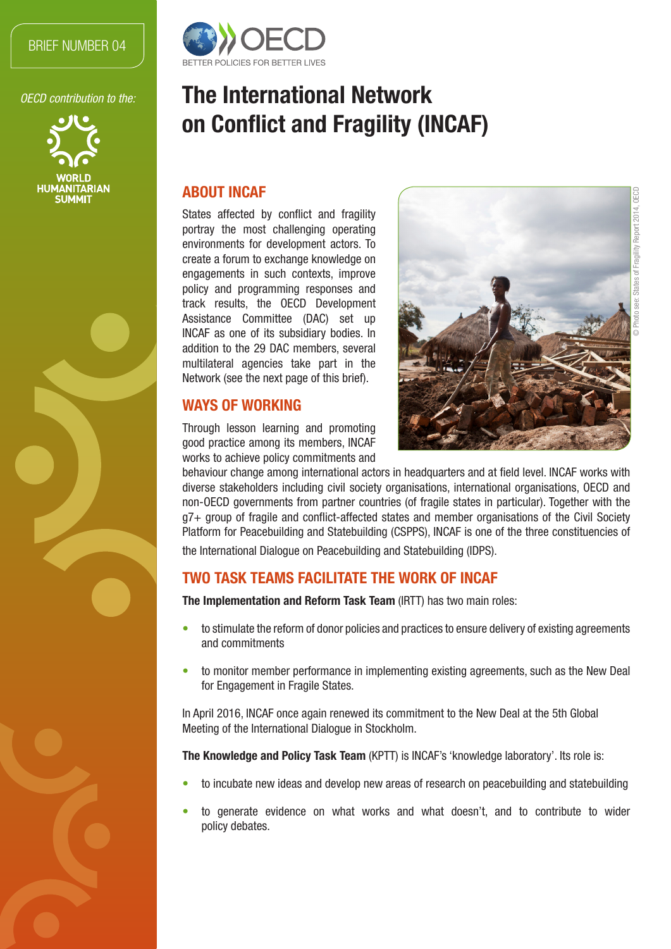#### BRIEF NUMBER 04

*OECD contribution to the:*





# The International Network on Conflict and Fragility (INCAF)

#### ABOUT INCAF

States affected by conflict and fragility portray the most challenging operating environments for development actors. To create a forum to exchange knowledge on engagements in such contexts, improve policy and programming responses and track results, the OECD Development Assistance Committee (DAC) set up INCAF as one of its subsidiary bodies. In addition to the 29 DAC members, several multilateral agencies take part in the Network (see the next page of this brief).

### WAYS OF WORKING

Through lesson learning and promoting good practice among its members, INCAF works to achieve policy commitments and



behaviour change among international actors in headquarters and at field level. INCAF works with diverse stakeholders including civil society organisations, international organisations, OECD and non-OECD governments from partner countries (of fragile states in particular). Together with the g7+ group of fragile and conflict-affected states and member organisations of the Civil Society Platform for Peacebuilding and Statebuilding (CSPPS), INCAF is one of the three constituencies of the International Dialogue on Peacebuilding and Statebuilding (IDPS).

# TWO TASK TEAMS FACILITATE THE WORK OF INCAF

The Implementation and Reform Task Team (IRTT) has two main roles:

- to stimulate the reform of donor policies and practices to ensure delivery of existing agreements and commitments
- to monitor member performance in implementing existing agreements, such as the New Deal for Engagement in Fragile States.

In April 2016, INCAF once again renewed its commitment to the New Deal at the 5th Global Meeting of the International Dialogue in Stockholm.

The Knowledge and Policy Task Team (KPTT) is INCAF's 'knowledge laboratory'. Its role is:

- to incubate new ideas and develop new areas of research on peacebuilding and statebuilding
- to generate evidence on what works and what doesn't, and to contribute to wider policy debates.